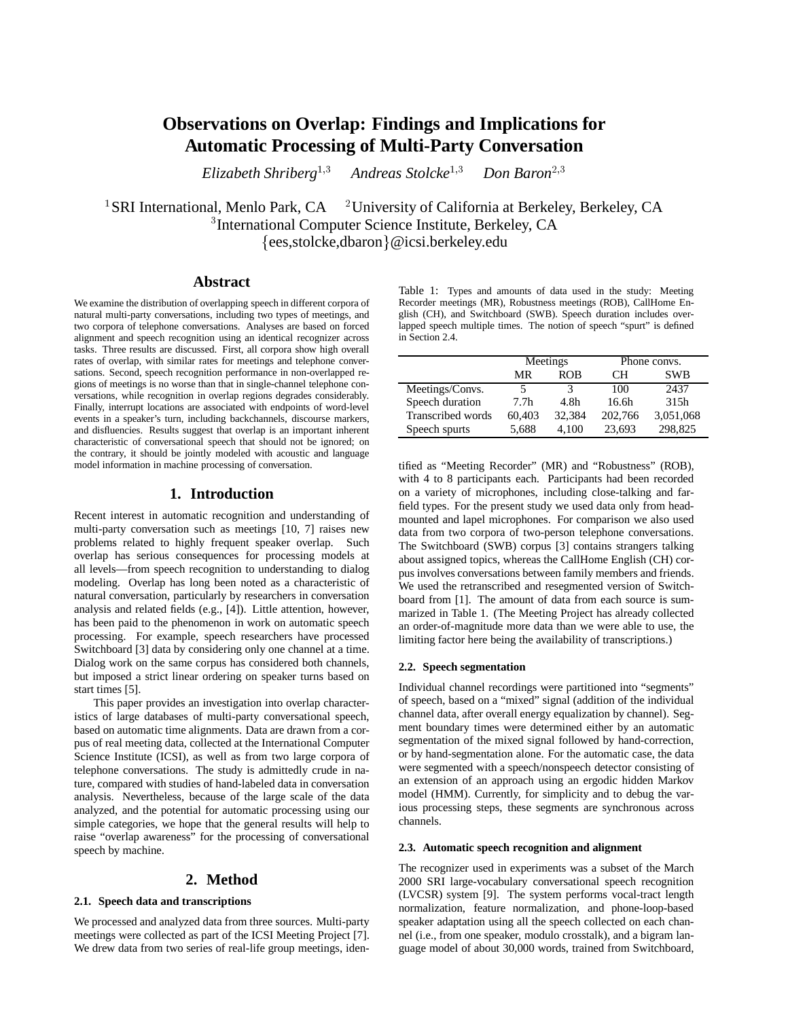# **Observations on Overlap: Findings and Implications for Automatic Processing of Multi-Party Conversation**

*Elizabeth Shriberg*1;3 *Andreas Stolcke*1;3 *Don Baron*2;3

<sup>1</sup>SRI International. Menlo Park. CA <sup>2</sup> University of California at Berkeley, Berkeley, CA <sup>3</sup> International Computer Science Institute, Berkeley, CA {ees,stolcke,dbaron}@icsi.berkeley.edu

## **Abstract**

We examine the distribution of overlapping speech in different corpora of natural multi-party conversations, including two types of meetings, and two corpora of telephone conversations. Analyses are based on forced alignment and speech recognition using an identical recognizer across tasks. Three results are discussed. First, all corpora show high overall rates of overlap, with similar rates for meetings and telephone conversations. Second, speech recognition performance in non-overlapped regions of meetings is no worse than that in single-channel telephone conversations, while recognition in overlap regions degrades considerably. Finally, interrupt locations are associated with endpoints of word-level events in a speaker's turn, including backchannels, discourse markers, and disfluencies. Results suggest that overlap is an important inherent characteristic of conversational speech that should not be ignored; on the contrary, it should be jointly modeled with acoustic and language model information in machine processing of conversation.

## **1. Introduction**

Recent interest in automatic recognition and understanding of multi-party conversation such as meetings [10, 7] raises new problems related to highly frequent speaker overlap. Such overlap has serious consequences for processing models at all levels—from speech recognition to understanding to dialog modeling. Overlap has long been noted as a characteristic of natural conversation, particularly by researchers in conversation analysis and related fields (e.g., [4]). Little attention, however, has been paid to the phenomenon in work on automatic speech processing. For example, speech researchers have processed Switchboard [3] data by considering only one channel at a time. Dialog work on the same corpus has considered both channels, but imposed a strict linear ordering on speaker turns based on start times [5].

This paper provides an investigation into overlap characteristics of large databases of multi-party conversational speech, based on automatic time alignments. Data are drawn from a corpus of real meeting data, collected at the International Computer Science Institute (ICSI), as well as from two large corpora of telephone conversations. The study is admittedly crude in nature, compared with studies of hand-labeled data in conversation analysis. Nevertheless, because of the large scale of the data analyzed, and the potential for automatic processing using our simple categories, we hope that the general results will help to raise "overlap awareness" for the processing of conversational speech by machine.

## **2. Method**

## **2.1. Speech data and transcriptions**

We processed and analyzed data from three sources. Multi-party meetings were collected as part of the ICSI Meeting Project [7]. We drew data from two series of real-life group meetings, idenTable 1: Types and amounts of data used in the study: Meeting Recorder meetings (MR), Robustness meetings (ROB), CallHome English (CH), and Switchboard (SWB). Speech duration includes overlapped speech multiple times. The notion of speech "spurt" is defined in Section 2.4.

|                   | Meetings         |            |         | Phone convs. |
|-------------------|------------------|------------|---------|--------------|
|                   | MR               | <b>ROB</b> | CН      | <b>SWB</b>   |
| Meetings/Convs.   | 5                | 3          | 100     | 2437         |
| Speech duration   | 7.7 <sub>h</sub> | 4.8h       | 16.6h   | 315h         |
| Transcribed words | 60,403           | 32.384     | 202,766 | 3,051,068    |
| Speech spurts     | 5,688            | 4.100      | 23,693  | 298,825      |

tified as "Meeting Recorder" (MR) and "Robustness" (ROB), with 4 to 8 participants each. Participants had been recorded on a variety of microphones, including close-talking and farfield types. For the present study we used data only from headmounted and lapel microphones. For comparison we also used data from two corpora of two-person telephone conversations. The Switchboard (SWB) corpus [3] contains strangers talking about assigned topics, whereas the CallHome English (CH) corpus involves conversations between family members and friends. We used the retranscribed and resegmented version of Switchboard from [1]. The amount of data from each source is summarized in Table 1. (The Meeting Project has already collected an order-of-magnitude more data than we were able to use, the limiting factor here being the availability of transcriptions.)

#### **2.2. Speech segmentation**

Individual channel recordings were partitioned into "segments" of speech, based on a "mixed" signal (addition of the individual channel data, after overall energy equalization by channel). Segment boundary times were determined either by an automatic segmentation of the mixed signal followed by hand-correction, or by hand-segmentation alone. For the automatic case, the data were segmented with a speech/nonspeech detector consisting of an extension of an approach using an ergodic hidden Markov model (HMM). Currently, for simplicity and to debug the various processing steps, these segments are synchronous across channels.

#### **2.3. Automatic speech recognition and alignment**

The recognizer used in experiments was a subset of the March 2000 SRI large-vocabulary conversational speech recognition (LVCSR) system [9]. The system performs vocal-tract length normalization, feature normalization, and phone-loop-based speaker adaptation using all the speech collected on each channel (i.e., from one speaker, modulo crosstalk), and a bigram language model of about 30,000 words, trained from Switchboard,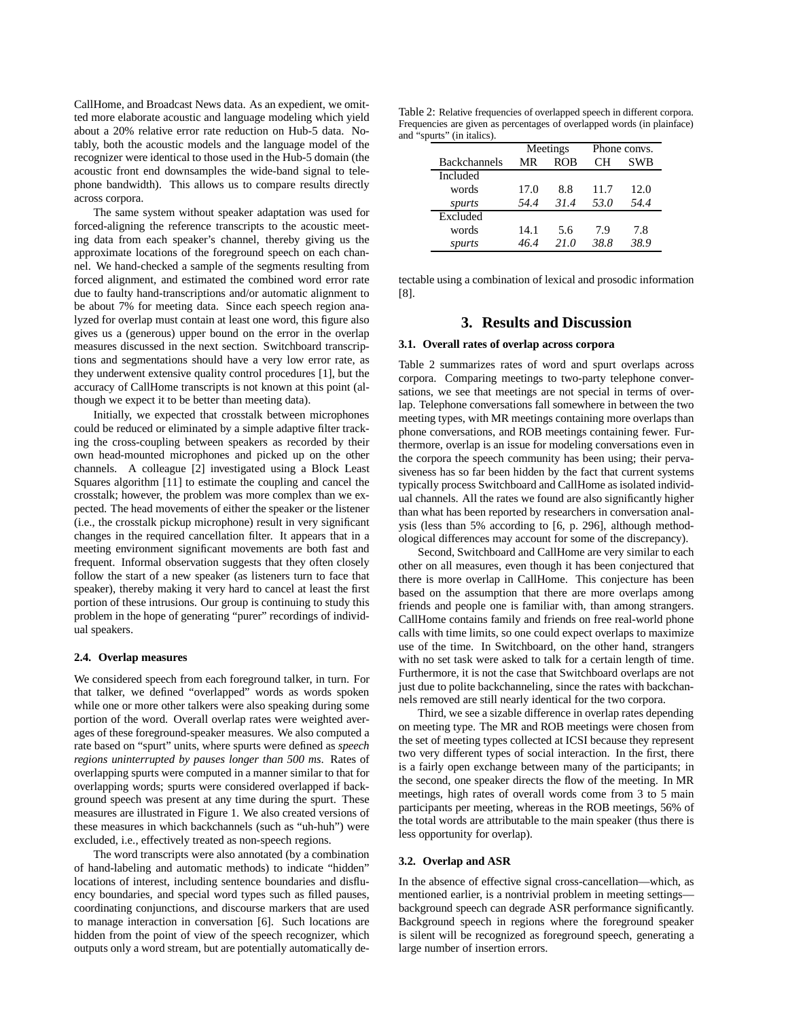CallHome, and Broadcast News data. As an expedient, we omitted more elaborate acoustic and language modeling which yield about a 20% relative error rate reduction on Hub-5 data. Notably, both the acoustic models and the language model of the recognizer were identical to those used in the Hub-5 domain (the acoustic front end downsamples the wide-band signal to telephone bandwidth). This allows us to compare results directly across corpora.

The same system without speaker adaptation was used for forced-aligning the reference transcripts to the acoustic meeting data from each speaker's channel, thereby giving us the approximate locations of the foreground speech on each channel. We hand-checked a sample of the segments resulting from forced alignment, and estimated the combined word error rate due to faulty hand-transcriptions and/or automatic alignment to be about 7% for meeting data. Since each speech region analyzed for overlap must contain at least one word, this figure also gives us a (generous) upper bound on the error in the overlap measures discussed in the next section. Switchboard transcriptions and segmentations should have a very low error rate, as they underwent extensive quality control procedures [1], but the accuracy of CallHome transcripts is not known at this point (although we expect it to be better than meeting data).

Initially, we expected that crosstalk between microphones could be reduced or eliminated by a simple adaptive filter tracking the cross-coupling between speakers as recorded by their own head-mounted microphones and picked up on the other channels. A colleague [2] investigated using a Block Least Squares algorithm [11] to estimate the coupling and cancel the crosstalk; however, the problem was more complex than we expected. The head movements of either the speaker or the listener (i.e., the crosstalk pickup microphone) result in very significant changes in the required cancellation filter. It appears that in a meeting environment significant movements are both fast and frequent. Informal observation suggests that they often closely follow the start of a new speaker (as listeners turn to face that speaker), thereby making it very hard to cancel at least the first portion of these intrusions. Our group is continuing to study this problem in the hope of generating "purer" recordings of individual speakers.

#### **2.4. Overlap measures**

We considered speech from each foreground talker, in turn. For that talker, we defined "overlapped" words as words spoken while one or more other talkers were also speaking during some portion of the word. Overall overlap rates were weighted averages of these foreground-speaker measures. We also computed a rate based on "spurt" units, where spurts were defined as *speech regions uninterrupted by pauses longer than 500 ms*. Rates of overlapping spurts were computed in a manner similar to that for overlapping words; spurts were considered overlapped if background speech was present at any time during the spurt. These measures are illustrated in Figure 1. We also created versions of these measures in which backchannels (such as "uh-huh") were excluded, i.e., effectively treated as non-speech regions.

The word transcripts were also annotated (by a combination of hand-labeling and automatic methods) to indicate "hidden" locations of interest, including sentence boundaries and disfluency boundaries, and special word types such as filled pauses, coordinating conjunctions, and discourse markers that are used to manage interaction in conversation [6]. Such locations are hidden from the point of view of the speech recognizer, which outputs only a word stream, but are potentially automatically de-

| Table 2: Relative frequencies of overlapped speech in different corpora. |
|--------------------------------------------------------------------------|
| Frequencies are given as percentages of overlapped words (in plainface)  |
| and "spurts" (in italics).                                               |

|                     | Meetings |      | Phone convs. |      |  |
|---------------------|----------|------|--------------|------|--|
| <b>Backchannels</b> | MR       | ROB  | CН           | SWB  |  |
| Included            |          |      |              |      |  |
| words               | 17.0     | 8.8  | 11.7         | 12.0 |  |
| spurts              | 54.4     | 31.4 | 53.0         | 54.4 |  |
| Excluded            |          |      |              |      |  |
| words               | 14.1     | 5.6  | 7.9          | 7.8  |  |
| spurts              | 46.4     | 21.0 | 38.8         | 38.9 |  |

tectable using a combination of lexical and prosodic information [8].

## **3. Results and Discussion**

#### **3.1. Overall rates of overlap across corpora**

Table 2 summarizes rates of word and spurt overlaps across corpora. Comparing meetings to two-party telephone conversations, we see that meetings are not special in terms of overlap. Telephone conversations fall somewhere in between the two meeting types, with MR meetings containing more overlaps than phone conversations, and ROB meetings containing fewer. Furthermore, overlap is an issue for modeling conversations even in the corpora the speech community has been using; their pervasiveness has so far been hidden by the fact that current systems typically process Switchboard and CallHome as isolated individual channels. All the rates we found are also significantly higher than what has been reported by researchers in conversation analysis (less than 5% according to [6, p. 296], although methodological differences may account for some of the discrepancy).

Second, Switchboard and CallHome are very similar to each other on all measures, even though it has been conjectured that there is more overlap in CallHome. This conjecture has been based on the assumption that there are more overlaps among friends and people one is familiar with, than among strangers. CallHome contains family and friends on free real-world phone calls with time limits, so one could expect overlaps to maximize use of the time. In Switchboard, on the other hand, strangers with no set task were asked to talk for a certain length of time. Furthermore, it is not the case that Switchboard overlaps are not just due to polite backchanneling, since the rates with backchannels removed are still nearly identical for the two corpora.

Third, we see a sizable difference in overlap rates depending on meeting type. The MR and ROB meetings were chosen from the set of meeting types collected at ICSI because they represent two very different types of social interaction. In the first, there is a fairly open exchange between many of the participants; in the second, one speaker directs the flow of the meeting. In MR meetings, high rates of overall words come from 3 to 5 main participants per meeting, whereas in the ROB meetings, 56% of the total words are attributable to the main speaker (thus there is less opportunity for overlap).

#### **3.2. Overlap and ASR**

In the absence of effective signal cross-cancellation—which, as mentioned earlier, is a nontrivial problem in meeting settings background speech can degrade ASR performance significantly. Background speech in regions where the foreground speaker is silent will be recognized as foreground speech, generating a large number of insertion errors.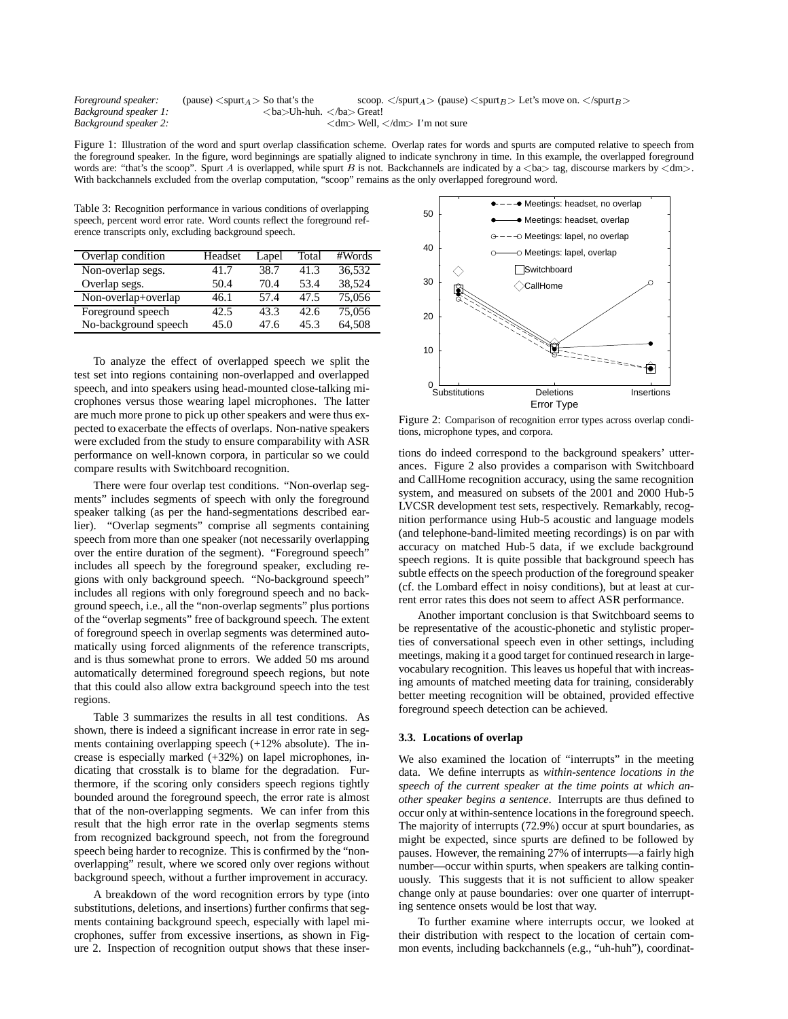| Foreground speaker:   | (pause) $\langle$ spurt $_A$ $>$ So that's the |                          | scoop. $\langle$ /spurt <sub>A</sub> $>$ (pause) $\langle$ spurt <sub>B</sub> $>$ Let's move on. $\langle$ /spurt <sub>B</sub> $>$ |  |  |
|-----------------------|------------------------------------------------|--------------------------|------------------------------------------------------------------------------------------------------------------------------------|--|--|
| Background speaker 1: |                                                | <ba>Uh-huh. </ba> Great! |                                                                                                                                    |  |  |
| Background speaker 2: |                                                |                          | $\langle dm \rangle$ Well, $\langle dm \rangle$ I'm not sure                                                                       |  |  |

Figure 1: Illustration of the word and spurt overlap classification scheme. Overlap rates for words and spurts are computed relative to speech from the foreground speaker. In the figure, word beginnings are spatially aligned to indicate synchrony in time. In this example, the overlapped foreground words are: "that's the scoop". Spurt A is overlapped, while spurt B is not. Backchannels are indicated by a  $\langle ba \rangle$  tag, discourse markers by  $\langle dm \rangle$ . With backchannels excluded from the overlap computation, "scoop" remains as the only overlapped foreground word.

Table 3: Recognition performance in various conditions of overlapping speech, percent word error rate. Word counts reflect the foreground reference transcripts only, excluding background speech.

| Overlap condition    | Headset | Lapel | Total | #Words |
|----------------------|---------|-------|-------|--------|
| Non-overlap segs.    | 41.7    | 38.7  | 41.3  | 36.532 |
| Overlap segs.        | 50.4    | 70.4  | 53.4  | 38,524 |
| Non-overlap+overlap  | 46.1    | 57.4  | 47.5  | 75,056 |
| Foreground speech    | 42.5    | 43.3  | 42.6  | 75.056 |
| No-background speech | 45.0    | 47.6  | 45.3  | 64.508 |

To analyze the effect of overlapped speech we split the test set into regions containing non-overlapped and overlapped speech, and into speakers using head-mounted close-talking microphones versus those wearing lapel microphones. The latter are much more prone to pick up other speakers and were thus expected to exacerbate the effects of overlaps. Non-native speakers were excluded from the study to ensure comparability with ASR performance on well-known corpora, in particular so we could compare results with Switchboard recognition.

There were four overlap test conditions. "Non-overlap segments" includes segments of speech with only the foreground speaker talking (as per the hand-segmentations described earlier). "Overlap segments" comprise all segments containing speech from more than one speaker (not necessarily overlapping over the entire duration of the segment). "Foreground speech" includes all speech by the foreground speaker, excluding regions with only background speech. "No-background speech" includes all regions with only foreground speech and no background speech, i.e., all the "non-overlap segments" plus portions of the "overlap segments" free of background speech. The extent of foreground speech in overlap segments was determined automatically using forced alignments of the reference transcripts, and is thus somewhat prone to errors. We added 50 ms around automatically determined foreground speech regions, but note that this could also allow extra background speech into the test regions.

Table 3 summarizes the results in all test conditions. As shown, there is indeed a significant increase in error rate in segments containing overlapping speech (+12% absolute). The increase is especially marked (+32%) on lapel microphones, indicating that crosstalk is to blame for the degradation. Furthermore, if the scoring only considers speech regions tightly bounded around the foreground speech, the error rate is almost that of the non-overlapping segments. We can infer from this result that the high error rate in the overlap segments stems from recognized background speech, not from the foreground speech being harder to recognize. This is confirmed by the "nonoverlapping" result, where we scored only over regions without background speech, without a further improvement in accuracy.

A breakdown of the word recognition errors by type (into substitutions, deletions, and insertions) further confirms that segments containing background speech, especially with lapel microphones, suffer from excessive insertions, as shown in Figure 2. Inspection of recognition output shows that these inser-



Figure 2: Comparison of recognition error types across overlap conditions, microphone types, and corpora.

tions do indeed correspond to the background speakers' utterances. Figure 2 also provides a comparison with Switchboard and CallHome recognition accuracy, using the same recognition system, and measured on subsets of the 2001 and 2000 Hub-5 LVCSR development test sets, respectively. Remarkably, recognition performance using Hub-5 acoustic and language models (and telephone-band-limited meeting recordings) is on par with accuracy on matched Hub-5 data, if we exclude background speech regions. It is quite possible that background speech has subtle effects on the speech production of the foreground speaker (cf. the Lombard effect in noisy conditions), but at least at current error rates this does not seem to affect ASR performance.

Another important conclusion is that Switchboard seems to be representative of the acoustic-phonetic and stylistic properties of conversational speech even in other settings, including meetings, making it a good target for continued research in largevocabulary recognition. This leaves us hopeful that with increasing amounts of matched meeting data for training, considerably better meeting recognition will be obtained, provided effective foreground speech detection can be achieved.

#### **3.3. Locations of overlap**

We also examined the location of "interrupts" in the meeting data. We define interrupts as *within-sentence locations in the speech of the current speaker at the time points at which another speaker begins a sentence*. Interrupts are thus defined to occur only at within-sentence locations in the foreground speech. The majority of interrupts (72.9%) occur at spurt boundaries, as might be expected, since spurts are defined to be followed by pauses. However, the remaining 27% of interrupts—a fairly high number—occur within spurts, when speakers are talking continuously. This suggests that it is not sufficient to allow speaker change only at pause boundaries: over one quarter of interrupting sentence onsets would be lost that way.

To further examine where interrupts occur, we looked at their distribution with respect to the location of certain common events, including backchannels (e.g., "uh-huh"), coordinat-